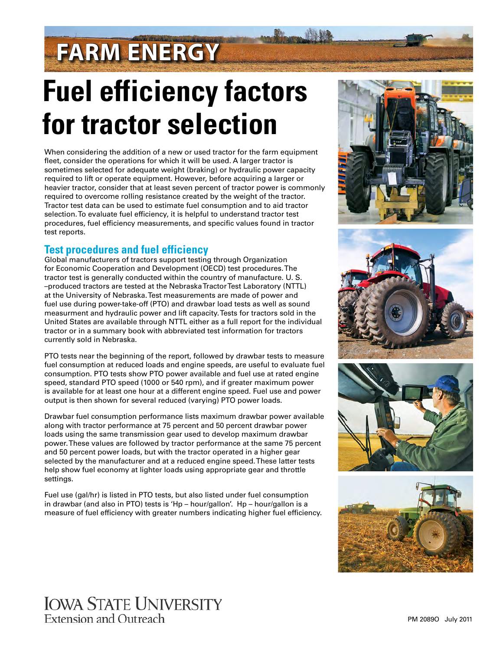## **FARM ENERGY**

# **Fuel efficiency factors for tractor selection**

When considering the addition of a new or used tractor for the farm equipment fleet, consider the operations for which it will be used. A larger tractor is sometimes selected for adequate weight (braking) or hydraulic power capacity required to lift or operate equipment. However, before acquiring a larger or heavier tractor, consider that at least seven percent of tractor power is commonly required to overcome rolling resistance created by the weight of the tractor. Tractor test data can be used to estimate fuel consumption and to aid tractor selection. To evaluate fuel efficiency, it is helpful to understand tractor test procedures, fuel efficiency measurements, and specific values found in tractor test reports.

## **Test procedures and fuel efficiency**

Global manufacturers of tractors support testing through Organization for Economic Cooperation and Development (OECD) test procedures. The tractor test is generally conducted within the country of manufacture. U. S. –produced tractors are tested at the Nebraska Tractor Test Laboratory (NTTL) at the University of Nebraska. Test measurements are made of power and fuel use during power-take-off (PTO) and drawbar load tests as well as sound measurment and hydraulic power and lift capacity. Tests for tractors sold in the United States are available through NTTL either as a full report for the individual tractor or in a summary book with abbreviated test information for tractors currently sold in Nebraska.

PTO tests near the beginning of the report, followed by drawbar tests to measure fuel consumption at reduced loads and engine speeds, are useful to evaluate fuel consumption. PTO tests show PTO power available and fuel use at rated engine speed, standard PTO speed (1000 or 540 rpm), and if greater maximum power is available for at least one hour at a different engine speed. Fuel use and power output is then shown for several reduced (varying) PTO power loads.

Drawbar fuel consumption performance lists maximum drawbar power available along with tractor performance at 75 percent and 50 percent drawbar power loads using the same transmission gear used to develop maximum drawbar power. These values are followed by tractor performance at the same 75 percent and 50 percent power loads, but with the tractor operated in a higher gear selected by the manufacturer and at a reduced engine speed. These latter tests help show fuel economy at lighter loads using appropriate gear and throttle settings.

Fuel use (gal/hr) is listed in PTO tests, but also listed under fuel consumption in drawbar (and also in PTO) tests is 'Hp – hour/gallon'. Hp – hour/gallon is a measure of fuel efficiency with greater numbers indicating higher fuel efficiency.









## **IOWA STATE UNIVERSITY** Extension and Outreach